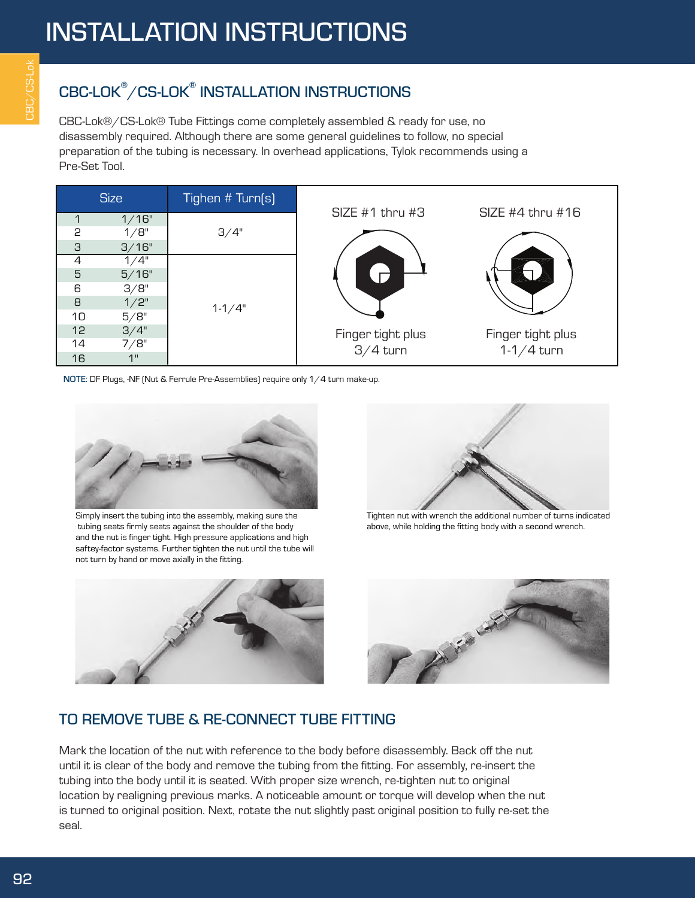## CBC-LOK® /CS-LOK® INSTALLATION INSTRUCTIONS

CBC-Lok®/CS-Lok® Tube Fittings come completely assembled & ready for use, no disassembly required. Although there are some general guidelines to follow, no special preparation of the tubing is necessary. In overhead applications, Tylok recommends using a Pre-Set Tool.



NOTE: DF Plugs, -NF (Nut & Ferrule Pre-Assemblies) require only 1/4 turn make-up.



## $\Pi$  TFS:

Simply insert the tubing into the assembly, making sure the Simply insert the tubing into the assembly, making sure the  $\vert$  tubing seats firmly seats against the shoulder of the body  $1.$ the nut is finger tight. High pressure applications and high and the nut is finger tight. High pressure applications and high saftey-factor systems. Further tighten the nut until the tube will  $\mathbf s$ aftey-factor systems. Further tighten the nut until the tub not turn by hand or move axially in the fitting. not turn by hand or move axially in the fitting. FXCFPT AS NOTED 3) BOTH AND FRE



Tighten nut with wrench the additional number of turns Tighten nut with wrench the additional number of turns indicated above, while holding the fitting body with a second wrench.



## TO REMOVE TUBE & RE-CONNECT TUBE FITTING

Mark the location of the nut with reference to the body before disassembly. Back off the nut until it is clear of the body and remove the tubing from the fitting. For assembly, re-insert the tubing into the body until it is seated. With proper size wrench, re-tighten nut to original location by realigning previous marks. A noticeable amount or torque will develop when the nut is turned to original position. Next, rotate the nut slightly past original position to fully re-set the seal.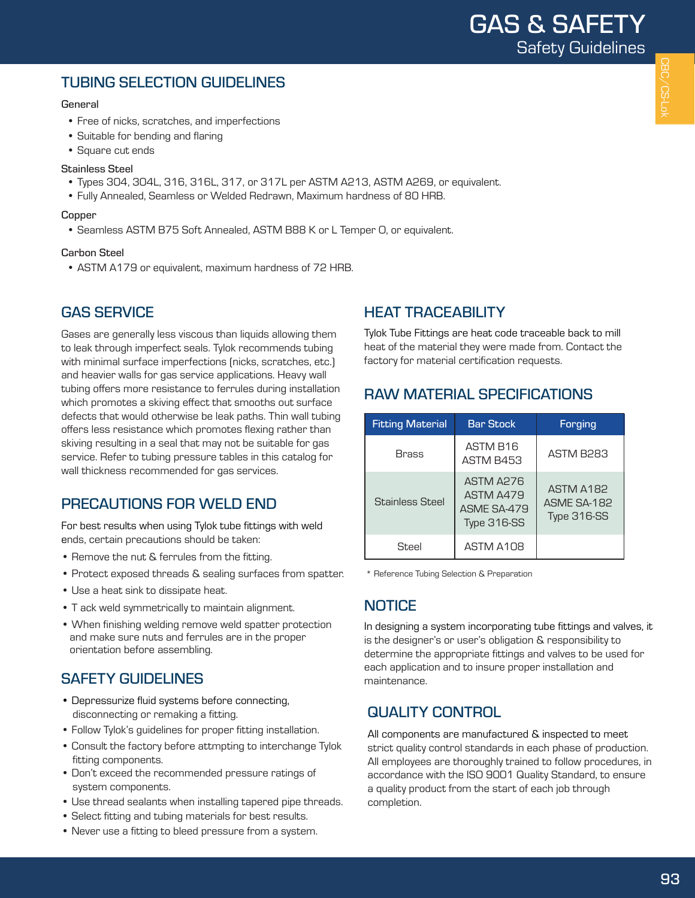## TUBING SELECTION GUIDELINES

#### General

- Free of nicks, scratches, and imperfections
- Suitable for bending and flaring
- Square cut ends

#### Stainless Steel

- Types 304, 304L, 316, 316L, 317, or 317L per ASTM A213, ASTM A269, or equivalent.
- Fully Annealed, Seamless or Welded Redrawn, Maximum hardness of 80 HRB.

#### **Copper**

• Seamless ASTM B75 Soft Annealed, ASTM B88 K or L Temper O, or equivalent.

#### Carbon Steel

• ASTM A179 or equivalent, maximum hardness of 72 HRB.

#### GAS SERVICE

Gases are generally less viscous than liquids allowing them to leak through imperfect seals. Tylok recommends tubing with minimal surface imperfections (nicks, scratches, etc.) and heavier walls for gas service applications. Heavy wall tubing offers more resistance to ferrules during installation which promotes a skiving effect that smooths out surface defects that would otherwise be leak paths. Thin wall tubing offers less resistance which promotes flexing rather than skiving resulting in a seal that may not be suitable for gas service. Refer to tubing pressure tables in this catalog for wall thickness recommended for gas services.

## PRECAUTIONS FOR WELD END

For best results when using Tylok tube fittings with weld ends, certain precautions should be taken:

- Remove the nut & ferrules from the fitting.
- Protect exposed threads & sealing surfaces from spatter.
- Use a heat sink to dissipate heat.
- T ack weld symmetrically to maintain alignment.
- When finishing welding remove weld spatter protection and make sure nuts and ferrules are in the proper orientation before assembling.

## SAFETY GUIDELINES

- Depressurize fluid systems before connecting, disconnecting or remaking a fitting.
- Follow Tylok's guidelines for proper fitting installation.
- Consult the factory before attmpting to interchange Tylok fitting components.
- Don't exceed the recommended pressure ratings of system components.
- Use thread sealants when installing tapered pipe threads.
- Select fitting and tubing materials for best results.
- Never use a fitting to bleed pressure from a system.

## HEAT TRACEABILITY

Tylok Tube Fittings are heat code traceable back to mill heat of the material they were made from. Contact the factory for material certification requests.

## RAW MATERIAL SPECIFICATIONS

| <b>Fitting Material</b> | <b>Bar Stock</b>                                            | Forging                                 |
|-------------------------|-------------------------------------------------------------|-----------------------------------------|
| <b>Brass</b>            | ASTM B16<br>ASTM B453                                       | ASTM B283                               |
| <b>Stainless Steel</b>  | ASTM A276<br>ASTM A479<br><b>ASMF SA-479</b><br>Type 316-SS | ASTM A182<br>ASME SA-182<br>Type 316-SS |
| Steel                   | ASTM A108                                                   |                                         |

\* Reference Tubing Selection & Preparation

## **NOTICE**

In designing a system incorporating tube fittings and valves, it is the designer's or user's obligation & responsibility to determine the appropriate fittings and valves to be used for each application and to insure proper installation and maintenance.

## QUALITY CONTROL

All components are manufactured & inspected to meet strict quality control standards in each phase of production. All employees are thoroughly trained to follow procedures, in accordance with the ISO 9001 Quality Standard, to ensure a quality product from the start of each job through completion.